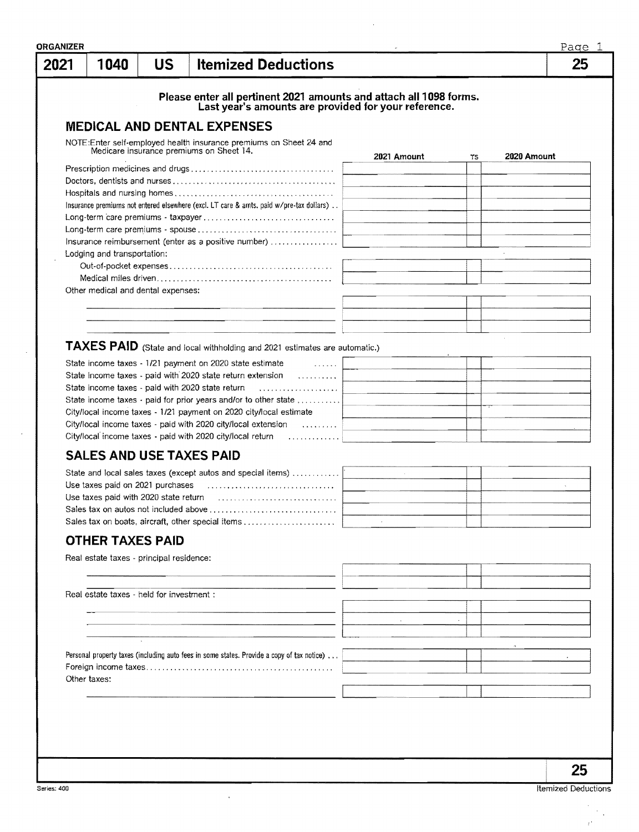| 2021 | 1040                                      | <b>US</b> | <b>Itemized Deductions</b>                                                                                                                                                                                                                                                                                                                                                                                                                                                                                           |             |        | 25           |
|------|-------------------------------------------|-----------|----------------------------------------------------------------------------------------------------------------------------------------------------------------------------------------------------------------------------------------------------------------------------------------------------------------------------------------------------------------------------------------------------------------------------------------------------------------------------------------------------------------------|-------------|--------|--------------|
|      |                                           |           | Please enter all pertinent 2021 amounts and attach all 1098 forms.                                                                                                                                                                                                                                                                                                                                                                                                                                                   |             |        |              |
|      |                                           |           | Last year's amounts are provided for your reference.                                                                                                                                                                                                                                                                                                                                                                                                                                                                 |             |        |              |
|      |                                           |           | <b>MEDICAL AND DENTAL EXPENSES</b>                                                                                                                                                                                                                                                                                                                                                                                                                                                                                   |             |        |              |
|      |                                           |           | NOTE:Enter self-employed health insurance premiums on Sheet 24 and<br>Medicare insurance premiums on Sheet 14.                                                                                                                                                                                                                                                                                                                                                                                                       | 2021 Amount | TS.    | 2020 Amount  |
|      |                                           |           |                                                                                                                                                                                                                                                                                                                                                                                                                                                                                                                      |             |        |              |
|      |                                           |           |                                                                                                                                                                                                                                                                                                                                                                                                                                                                                                                      |             |        |              |
|      |                                           |           |                                                                                                                                                                                                                                                                                                                                                                                                                                                                                                                      |             |        |              |
|      |                                           |           | Insurance premiums not entered elsewhere (excl. LT care & amts. paid w/pre-tax dollars)                                                                                                                                                                                                                                                                                                                                                                                                                              |             |        |              |
|      |                                           |           |                                                                                                                                                                                                                                                                                                                                                                                                                                                                                                                      |             |        |              |
|      |                                           |           | Insurance reimbursement (enter as a positive number)                                                                                                                                                                                                                                                                                                                                                                                                                                                                 |             |        |              |
|      | Lodging and transportation:               |           |                                                                                                                                                                                                                                                                                                                                                                                                                                                                                                                      |             |        |              |
|      |                                           |           |                                                                                                                                                                                                                                                                                                                                                                                                                                                                                                                      |             |        |              |
|      |                                           |           |                                                                                                                                                                                                                                                                                                                                                                                                                                                                                                                      |             |        |              |
|      | Other medical and dental expenses:        |           |                                                                                                                                                                                                                                                                                                                                                                                                                                                                                                                      |             |        |              |
|      |                                           |           |                                                                                                                                                                                                                                                                                                                                                                                                                                                                                                                      |             |        |              |
|      |                                           |           |                                                                                                                                                                                                                                                                                                                                                                                                                                                                                                                      |             |        |              |
|      |                                           |           |                                                                                                                                                                                                                                                                                                                                                                                                                                                                                                                      |             |        |              |
|      |                                           |           | TAXES PAID (State and local withholding and 2021 estimates are automatic.)                                                                                                                                                                                                                                                                                                                                                                                                                                           |             |        |              |
|      |                                           |           | State income taxes - 1/21 payment on 2020 state estimate<br>$\mathcal{L} = \{ \mathcal{L} \mathcal{L} \mathcal{L} \mathcal{L} \mathcal{L} \mathcal{L} \mathcal{L} \mathcal{L} \mathcal{L} \mathcal{L} \mathcal{L} \mathcal{L} \mathcal{L} \mathcal{L} \mathcal{L} \mathcal{L} \mathcal{L} \mathcal{L} \mathcal{L} \mathcal{L} \mathcal{L} \mathcal{L} \mathcal{L} \mathcal{L} \mathcal{L} \mathcal{L} \mathcal{L} \mathcal{L} \mathcal{L} \mathcal{L} \mathcal{L} \mathcal{L} \mathcal{L} \mathcal{L} \mathcal{L} \$ |             |        |              |
|      |                                           |           | State income taxes - paid with 2020 state return extension                                                                                                                                                                                                                                                                                                                                                                                                                                                           |             |        |              |
|      |                                           |           |                                                                                                                                                                                                                                                                                                                                                                                                                                                                                                                      |             |        |              |
|      |                                           |           | State income taxes $\cdot$ paid for prior years and/or to other state $\ldots \ldots \ldots$                                                                                                                                                                                                                                                                                                                                                                                                                         |             |        |              |
|      |                                           |           | City/local income taxes - 1/21 payment on 2020 city/local estimate                                                                                                                                                                                                                                                                                                                                                                                                                                                   |             |        |              |
|      |                                           |           | City/local income taxes - paid with 2020 city/local extension                                                                                                                                                                                                                                                                                                                                                                                                                                                        |             |        |              |
|      |                                           |           | City/local income taxes - paid with 2020 city/local return                                                                                                                                                                                                                                                                                                                                                                                                                                                           |             |        |              |
|      |                                           |           | <b>SALES AND USE TAXES PAID</b>                                                                                                                                                                                                                                                                                                                                                                                                                                                                                      |             |        |              |
|      |                                           |           | State and local sales taxes (except autos and special items)                                                                                                                                                                                                                                                                                                                                                                                                                                                         |             |        |              |
|      | Use taxes paid on 2021 purchases          |           |                                                                                                                                                                                                                                                                                                                                                                                                                                                                                                                      |             |        |              |
|      |                                           |           |                                                                                                                                                                                                                                                                                                                                                                                                                                                                                                                      |             |        |              |
|      |                                           |           |                                                                                                                                                                                                                                                                                                                                                                                                                                                                                                                      |             |        |              |
|      |                                           |           | Sales tax on boats, aircraft, other special items                                                                                                                                                                                                                                                                                                                                                                                                                                                                    |             |        |              |
|      | <b>OTHER TAXES PAID</b>                   |           |                                                                                                                                                                                                                                                                                                                                                                                                                                                                                                                      |             |        |              |
|      |                                           |           |                                                                                                                                                                                                                                                                                                                                                                                                                                                                                                                      |             |        |              |
|      | Real estate taxes - principal residence:  |           |                                                                                                                                                                                                                                                                                                                                                                                                                                                                                                                      |             |        |              |
|      |                                           |           |                                                                                                                                                                                                                                                                                                                                                                                                                                                                                                                      |             |        |              |
|      | Real estate taxes - held for investment : |           |                                                                                                                                                                                                                                                                                                                                                                                                                                                                                                                      |             |        |              |
|      |                                           |           |                                                                                                                                                                                                                                                                                                                                                                                                                                                                                                                      |             |        |              |
|      |                                           |           | the contract of the contract of the contract of the contract of the contract of the contract of the contract of                                                                                                                                                                                                                                                                                                                                                                                                      |             | $\sim$ |              |
|      |                                           |           |                                                                                                                                                                                                                                                                                                                                                                                                                                                                                                                      |             |        |              |
|      |                                           |           |                                                                                                                                                                                                                                                                                                                                                                                                                                                                                                                      |             |        |              |
|      |                                           |           | Personal property taxes (including auto fees in some states. Provide a copy of tax notice)                                                                                                                                                                                                                                                                                                                                                                                                                           |             |        | $\mathbf{r}$ |
|      |                                           |           |                                                                                                                                                                                                                                                                                                                                                                                                                                                                                                                      |             |        |              |
|      | Other taxes:                              |           |                                                                                                                                                                                                                                                                                                                                                                                                                                                                                                                      |             |        |              |
|      |                                           |           |                                                                                                                                                                                                                                                                                                                                                                                                                                                                                                                      |             |        |              |
|      |                                           |           |                                                                                                                                                                                                                                                                                                                                                                                                                                                                                                                      |             |        |              |
|      |                                           |           |                                                                                                                                                                                                                                                                                                                                                                                                                                                                                                                      |             |        |              |

 $\bar{z}$ 

 $\mathcal{F}_{\mathcal{A}}$  $\vec{r}$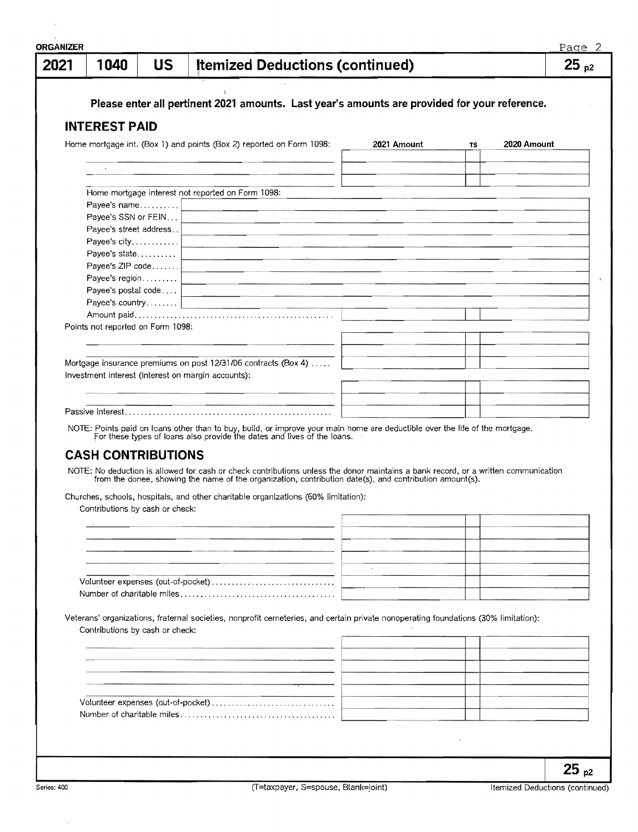| 2021 | 1040                                  | <b>US</b> | <b>Itemized Deductions (continued)</b>                                                                                                                                                                  |             |    |             | Page 2<br>$25_{p2}$ |
|------|---------------------------------------|-----------|---------------------------------------------------------------------------------------------------------------------------------------------------------------------------------------------------------|-------------|----|-------------|---------------------|
|      |                                       |           |                                                                                                                                                                                                         |             |    |             |                     |
|      |                                       |           | Please enter all pertinent 2021 amounts. Last year's amounts are provided for your reference.                                                                                                           |             |    |             |                     |
|      | <b>INTEREST PAID</b>                  |           |                                                                                                                                                                                                         |             |    |             |                     |
|      |                                       |           | Home mortgage int. (Box 1) and points (Box 2) reported on Form 1098:                                                                                                                                    | 2021 Amount | TS | 2020 Amount |                     |
|      |                                       |           |                                                                                                                                                                                                         |             |    |             |                     |
|      |                                       |           |                                                                                                                                                                                                         |             |    |             |                     |
|      |                                       |           | Home mortgage interest not reported on Form 1098:                                                                                                                                                       |             |    |             |                     |
|      | Payee's name                          |           |                                                                                                                                                                                                         |             |    |             |                     |
|      | Payee's SSN or FEIN                   |           |                                                                                                                                                                                                         |             |    |             |                     |
|      | Payee's street address                |           |                                                                                                                                                                                                         |             |    |             |                     |
|      | Payee's city                          |           |                                                                                                                                                                                                         |             |    |             |                     |
|      | Payee's state                         |           |                                                                                                                                                                                                         |             |    |             |                     |
|      | Payee's ZIP code                      |           |                                                                                                                                                                                                         |             |    |             |                     |
|      | Payee's region<br>Payee's postal code |           |                                                                                                                                                                                                         |             |    |             |                     |
|      |                                       |           |                                                                                                                                                                                                         |             |    |             |                     |
|      |                                       |           |                                                                                                                                                                                                         |             |    |             |                     |
|      | Points not reported on Form 1098:     |           |                                                                                                                                                                                                         |             |    |             |                     |
|      |                                       |           |                                                                                                                                                                                                         |             |    |             |                     |
|      |                                       |           |                                                                                                                                                                                                         |             |    |             |                     |
|      |                                       |           | Mortgage insurance premiums on post 12/31/06 contracts (Box 4)                                                                                                                                          |             |    |             |                     |
|      |                                       |           | Investment interest (interest on margin accounts):                                                                                                                                                      |             |    |             |                     |
|      |                                       |           |                                                                                                                                                                                                         |             |    |             |                     |
|      |                                       |           |                                                                                                                                                                                                         |             |    |             |                     |
|      |                                       |           |                                                                                                                                                                                                         |             |    |             |                     |
|      |                                       |           | NOTE: Points paid on loans other than to buy, build, or improve your main home are deductible over the life of the mortgage.<br>For these types of loans also provide the dates and lives of the loans. |             |    |             |                     |
|      | <b>CASH CONTRIBUTIONS</b>             |           |                                                                                                                                                                                                         |             |    |             |                     |
|      |                                       |           | NOTE: No deduction is allowed for cash or check contributions unless the donor maintains a bank record, or a written communication                                                                      |             |    |             |                     |
|      |                                       |           | from the donee, showing the name of the organization, contribution date(s), and contribution amount(s).                                                                                                 |             |    |             |                     |
|      |                                       |           | Churches, schools, hospitals, and other charitable organizations (60% limitation):                                                                                                                      |             |    |             |                     |
|      |                                       |           | Contributions by cash or check: North Contributions by cash or check:                                                                                                                                   |             |    |             |                     |
|      |                                       |           |                                                                                                                                                                                                         |             |    |             |                     |
|      |                                       |           |                                                                                                                                                                                                         |             |    |             |                     |
|      |                                       |           |                                                                                                                                                                                                         |             |    |             |                     |
|      |                                       |           |                                                                                                                                                                                                         |             |    |             |                     |
|      |                                       |           | Volunteer expenses (out-of-pocket)                                                                                                                                                                      |             |    |             |                     |
|      |                                       |           |                                                                                                                                                                                                         |             |    |             |                     |
|      |                                       |           |                                                                                                                                                                                                         |             |    |             |                     |
|      |                                       |           | Veterans' organizations, fraternal societies, nonprofit cemeteries, and certain private nonoperating foundations (30% limitation):                                                                      |             |    |             |                     |
|      | Contributions by cash or check:       |           |                                                                                                                                                                                                         |             |    |             |                     |
|      |                                       |           |                                                                                                                                                                                                         |             |    |             |                     |
|      |                                       |           |                                                                                                                                                                                                         |             |    |             |                     |
|      |                                       |           |                                                                                                                                                                                                         |             |    |             |                     |
|      |                                       |           |                                                                                                                                                                                                         |             |    |             |                     |
|      |                                       |           | Volunteer expenses (out-of-pocket)                                                                                                                                                                      |             |    |             |                     |
|      |                                       |           |                                                                                                                                                                                                         |             |    |             |                     |
|      |                                       |           |                                                                                                                                                                                                         |             |    |             |                     |
|      |                                       |           |                                                                                                                                                                                                         |             |    |             |                     |
|      |                                       |           |                                                                                                                                                                                                         |             |    |             | つに                  |
|      |                                       |           |                                                                                                                                                                                                         |             |    |             |                     |

 $\bar{\gamma}$